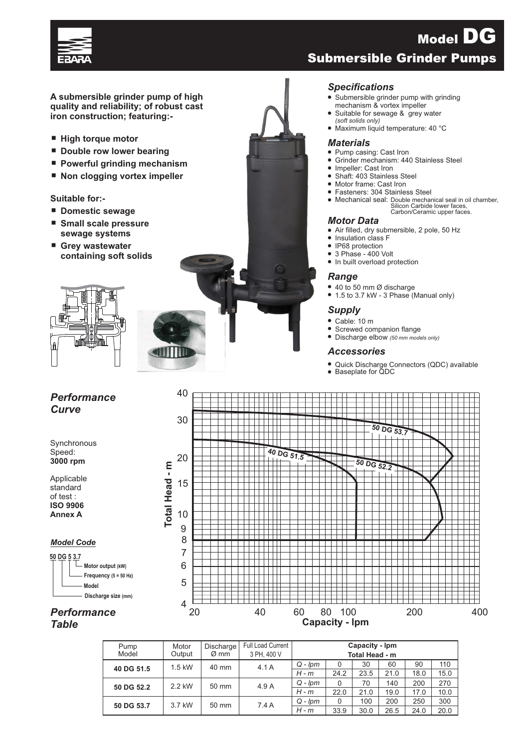

**A submersible grinder pump of high quality and reliability; of robust cast iron construction; featuring:-**

- **High torque motor**
- Double row lower bearing
- Powerful grinding mechanism
- Non clogging vortex impeller

### **Suitable for:-**

- **Domestic sewage**
- ¾ **Small scale pressure sewage systems**
- ¾ **Grey wastewater containing soft solids**



### *Performance Curve*

40

**Synchronous** Speed: **3000 rpm**

Applicable standard of test : **ISO 9906 Annex A**

#### *Model Code*





˜ Submersible grinder pump with grinding mechanism & vortex impeller

Submersible Grinder Pumps

Model DG

- Suitable for sewage & grey water
- *(soft solids only)* ˜ Maximum liquid temperature: 40 °C

#### *Materials*

- ˜ Pump casing: Cast Iron
- Grinder mechanism: 440 Stainless Steel
- Impeller: Cast Iron
- Shaft: 403 Stainless Steel
- ˜ Motor frame: Cast Iron
- ˜ Fasteners: 304 Stainless Steel
- ˜ Mechanical seal: Double mechanical seal in oil chamber, Silicon Carbide lower faces, Carbon/Ceramic upper faces.

#### *Motor Data*

- Air filled, dry submersible, 2 pole, 50 Hz
- Insulation class F



*Performance Table*

| Pump       | Motor    | Discharge        | Full Load Current | Capacity - Ipm |      |      |      |      |      |  |  |
|------------|----------|------------------|-------------------|----------------|------|------|------|------|------|--|--|
| Model      | Output   | $\varnothing$ mm | 3 PH, 400 V       | Total Head - m |      |      |      |      |      |  |  |
| 40 DG 51.5 | $1.5$ kW | 40 mm            | 4.1A              | $Q - lpm$      | 0    | 30   | 60   | 90   | 110  |  |  |
|            |          |                  |                   | $H - m$        | 24.2 | 23.5 | 21.0 | 18.0 | 15.0 |  |  |
| 50 DG 52.2 | 2.2 kW   | $50 \text{ mm}$  | 4.9 A             | $Q - l$ pm     | 0    | 70   | 140  | 200  | 270  |  |  |
|            |          |                  |                   | $H - m$        | 22.0 | 21.0 | 19.0 | 17.0 | 10.0 |  |  |
| 50 DG 53.7 | 3.7 kW   | 50 mm            | 7.4A              | $Q - lpm$      | 0    | 100  | 200  | 250  | 300  |  |  |
|            |          |                  |                   | $H - m$        | 33.9 | 30.0 | 26.5 | 24.0 | 20.0 |  |  |

## *Specifications*